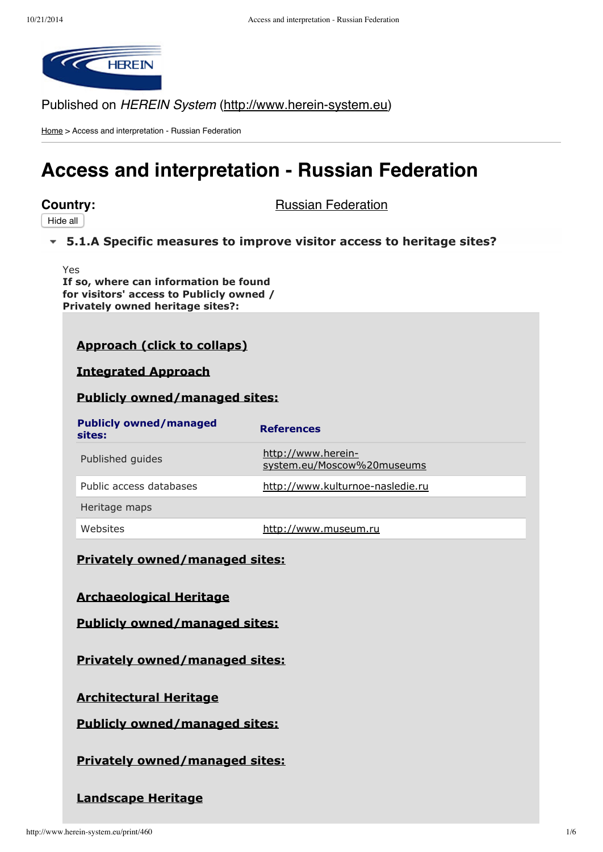

Published on HEREIN System (http://www.herein-system.eu)

Home > Access and interpretation - Russian Federation

# **Access and interpretation - Russian Federation**

Hide all

**Country:** Russian Federation

# **5.1.A Specific [measures](http://www.herein-system.eu/print/460#) to improve visitor access to heritage sites?**

Yes **If so, where can information be found for visitors' access to Publicly owned / Privately owned heritage sites?:**

# **Approach (click to collaps)**

**Integrated Approach**

#### **Publicly owned/managed sites:**

| <b>Publicly owned/managed</b><br>sites: | <b>References</b>                                |
|-----------------------------------------|--------------------------------------------------|
| Published guides                        | http://www.herein-<br>system.eu/Moscow%20museums |
| Public access databases                 | http://www.kulturnoe-nasledie.ru                 |
| Heritage maps                           |                                                  |
| Websites                                | http://www.museum.ru                             |

#### **Privately owned/managed sites:**

**Archaeological Heritage**

**Publicly owned/managed sites:**

**Privately owned/managed sites:**

#### **Architectural Heritage**

**Publicly owned/managed sites:**

**Privately owned/managed sites:**

# **Landscape Heritage**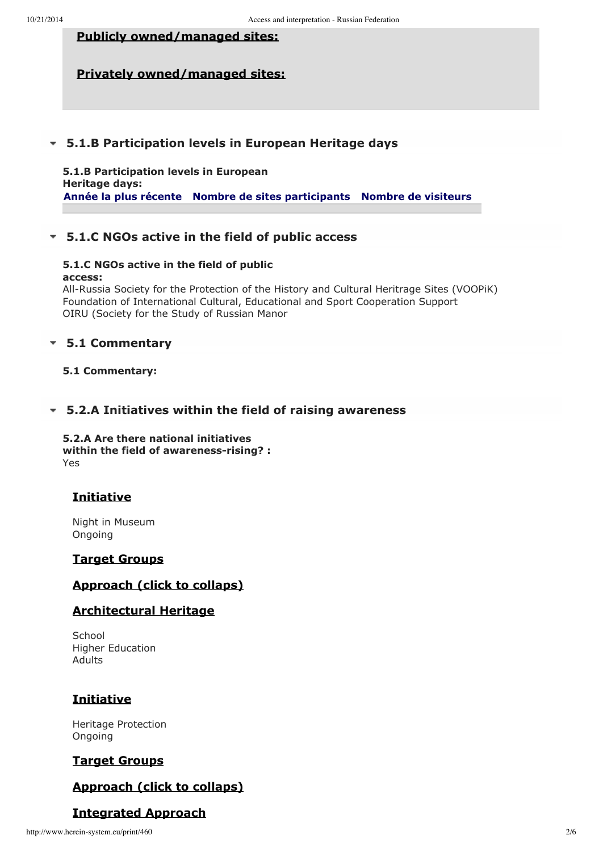# **Publicly owned/managed sites:**

# **Privately owned/managed sites:**

#### **5.1.B [Participation](http://www.herein-system.eu/print/460#) levels in European Heritage days**

**5.1.B Participation levels in European Heritage days: Année la plus récente Nombre de sites participants Nombre de visiteurs**

# **5.1.C NGOs active in the field of public [access](http://www.herein-system.eu/print/460#)**

#### **5.1.C NGOs active in the field of public access:**

All-Russia Society for the Protection of the History and Cultural Heritrage Sites (VOOPiK) Foundation of International Cultural, Educational and Sport Cooperation Support OIRU (Society for the Study of Russian Manor

### **5.1 [Commentary](http://www.herein-system.eu/print/460#)**

#### **5.1 Commentary:**

# **5.2.A Initiatives within the field of raising [awareness](http://www.herein-system.eu/print/460#)**

**5.2.A Are there national initiatives within the field of awarenessrising? :** Yes

# **Initiative**

Night in Museum Ongoing

#### **Target Groups**

# **Approach (click to collaps)**

#### **Architectural Heritage**

**School** Higher Education Adults

# **Initiative**

Heritage Protection Ongoing

#### **Target Groups**

# **Approach (click to collaps)**

# **Integrated Approach**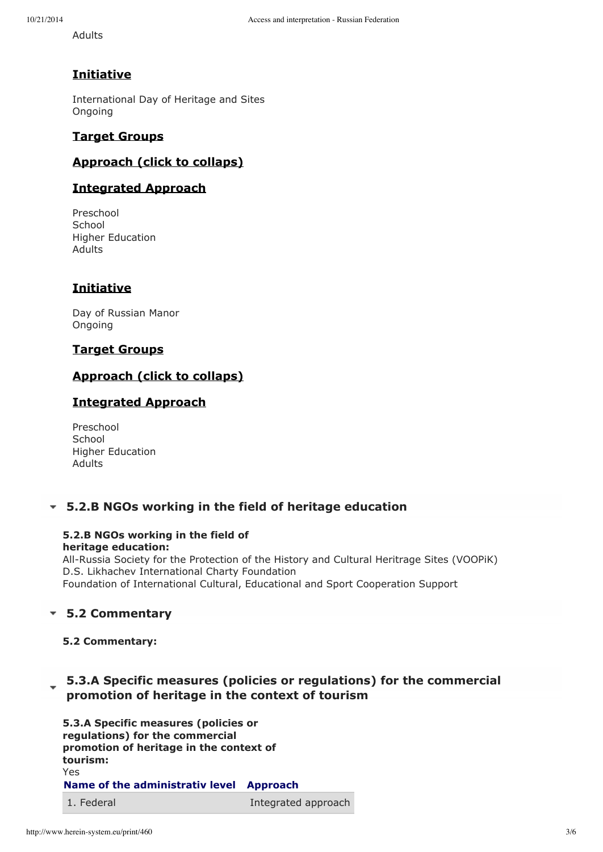Adults

# **Initiative**

International Day of Heritage and Sites Ongoing

### **Target Groups**

# **Approach (click to collaps)**

# **Integrated Approach**

Preschool **School** Higher Education Adults

# **Initiative**

Day of Russian Manor Ongoing

#### **Target Groups**

### **Approach (click to collaps)**

# **Integrated Approach**

| Preschool               |
|-------------------------|
| School                  |
| <b>Higher Education</b> |
| Adults                  |

# **5.2.B NGOs working in the field of heritage [education](http://www.herein-system.eu/print/460#)**

#### **5.2.B NGOs working in the field of heritage education:**

All-Russia Society for the Protection of the History and Cultural Heritrage Sites (VOOPiK) D.S. Likhachev International Charty Foundation Foundation of International Cultural, Educational and Sport Cooperation Support

# **5.2 [Commentary](http://www.herein-system.eu/print/460#)**

**5.2 Commentary:**

# **5.3.A Specific measures (policies or [regulations\)](http://www.herein-system.eu/print/460#) for the commercial promotion of heritage in the context of tourism**

**5.3.A Specific measures (policies or regulations) for the commercial promotion of heritage in the context of tourism:** Yes **Name of the administrativ level Approach** 1. Federal and Integrated approach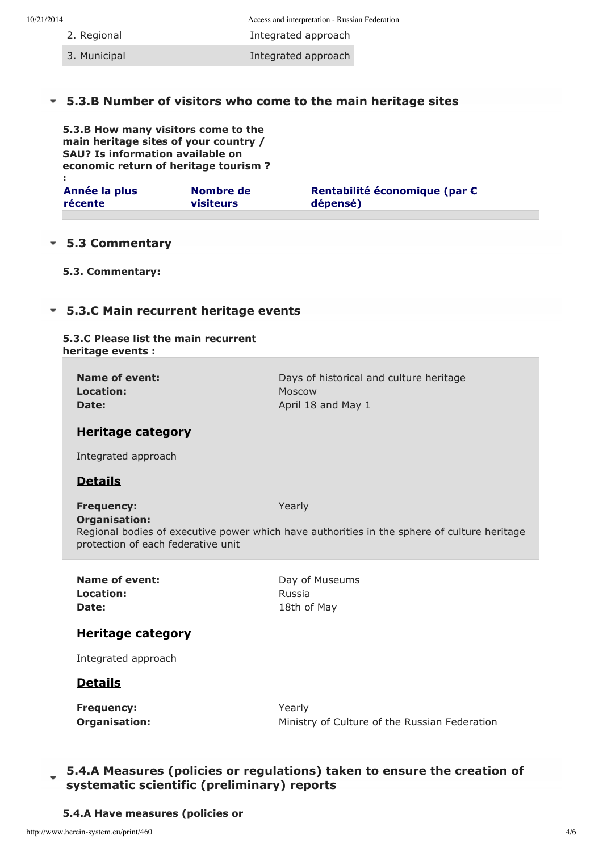- 
- 10/21/2014 Access and interpretation Russian Federation

2. Regional **Integrated approach** 

3. Municipal **Integrated approach** 

# **5.3.B Number of visitors who come to the main [heritage](http://www.herein-system.eu/print/460#) sites**

**5.3.B How many visitors come to the main heritage sites of your country / SAU? Is information available on economic return of heritage tourism ? :**

| Année la plus | Nombre de | Rentabilité économique (par € |
|---------------|-----------|-------------------------------|
| récente       | visiteurs | dépensé)                      |
|               |           |                               |

### **5.3 [Commentary](http://www.herein-system.eu/print/460#)**

**5.3. Commentary:**

# **5.3.C Main [recurrent](http://www.herein-system.eu/print/460#) heritage events**

#### **5.3.C Please list the main recurrent heritage events :**

| Name of event:<br>Location:<br>Date:                                     | Days of historical and culture heritage<br>Moscow<br>April 18 and May 1                               |
|--------------------------------------------------------------------------|-------------------------------------------------------------------------------------------------------|
| <b>Heritage category</b>                                                 |                                                                                                       |
| Integrated approach                                                      |                                                                                                       |
| <b>Details</b>                                                           |                                                                                                       |
| <b>Frequency:</b><br>Organisation:<br>protection of each federative unit | Yearly<br>Regional bodies of executive power which have authorities in the sphere of culture heritage |
| Name of event:<br>Location:<br>Date:                                     | Day of Museums<br>Russia<br>18th of May                                                               |
| <b>Heritage category</b>                                                 |                                                                                                       |
| Integrated approach                                                      |                                                                                                       |
| <b>Details</b>                                                           |                                                                                                       |
|                                                                          |                                                                                                       |

# **5.4.A Measures (policies or regulations) taken to ensure the creation of systematic scientific [\(preliminary\)](http://www.herein-system.eu/print/460#) reports**

**5.4.A Have measures (policies or**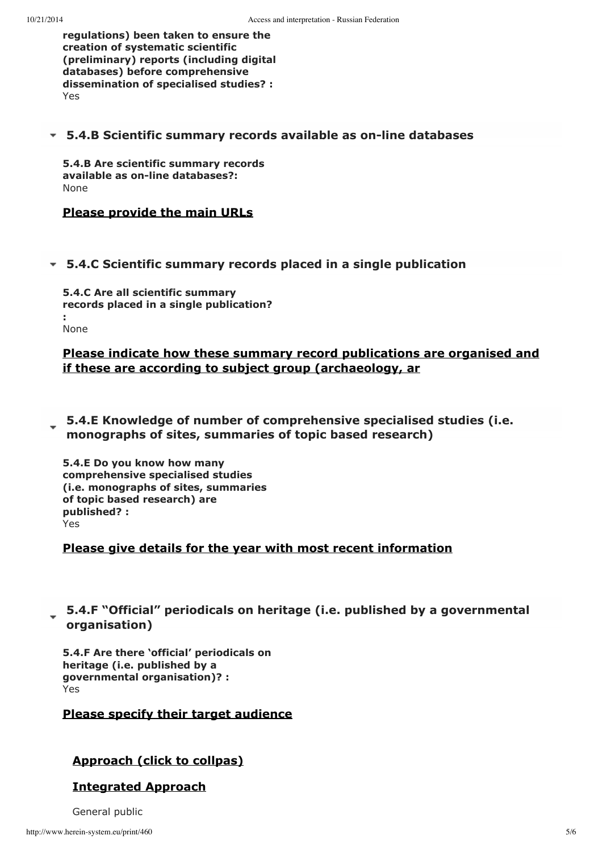**regulations) been taken to ensure the creation of systematic scientific (preliminary) reports (including digital databases) before comprehensive dissemination of specialised studies? :** Yes

### **5.4.B Scientific summary records available as online [databases](http://www.herein-system.eu/print/460#)**

**5.4.B Are scientific summary records**  $a$ vailable as on-line databases?: None

# **Please provide the main URLs**

#### **5.4.C Scientific summary records placed in a single [publication](http://www.herein-system.eu/print/460#)**

**5.4.C Are all scientific summary records placed in a single publication? :** None

# **Please indicate how these summary record publications are organised and if these are according to subject group (archaeology, ar**

**5.4.E Knowledge of number of [comprehensive](http://www.herein-system.eu/print/460#) specialised studies (i.e. monographs of sites, summaries of topic based research)**

**5.4.E Do you know how many comprehensive specialised studies (i.e. monographs of sites, summaries of topic based research) are published? :** Yes

#### **Please give details for the year with most recent information**

# **5.4.F "Official" periodicals on heritage (i.e. published by a [governmental](http://www.herein-system.eu/print/460#) organisation)**

**5.4.F Are there 'official' periodicals on heritage (i.e. published by a governmental organisation)? :** Yes

#### **Please specify their target audience**

#### **Approach (click to collpas)**

#### **Integrated Approach**

General public